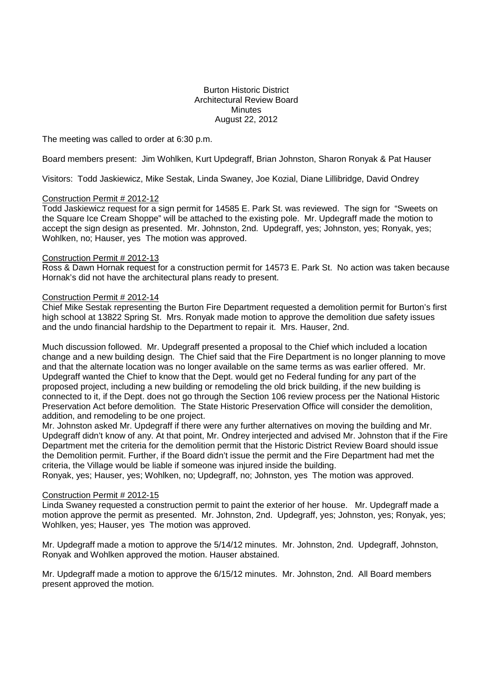## Burton Historic District Architectural Review Board **Minutes** August 22, 2012

The meeting was called to order at 6:30 p.m.

Board members present: Jim Wohlken, Kurt Updegraff, Brian Johnston, Sharon Ronyak & Pat Hauser

Visitors: Todd Jaskiewicz, Mike Sestak, Linda Swaney, Joe Kozial, Diane Lillibridge, David Ondrey

### Construction Permit # 2012-12

Todd Jaskiewicz request for a sign permit for 14585 E. Park St. was reviewed. The sign for "Sweets on the Square Ice Cream Shoppe" will be attached to the existing pole. Mr. Updegraff made the motion to accept the sign design as presented. Mr. Johnston, 2nd. Updegraff, yes; Johnston, yes; Ronyak, yes; Wohlken, no; Hauser, yes The motion was approved.

### Construction Permit # 2012-13

Ross & Dawn Hornak request for a construction permit for 14573 E. Park St. No action was taken because Hornak's did not have the architectural plans ready to present.

# Construction Permit # 2012-14

Chief Mike Sestak representing the Burton Fire Department requested a demolition permit for Burton's first high school at 13822 Spring St. Mrs. Ronyak made motion to approve the demolition due safety issues and the undo financial hardship to the Department to repair it. Mrs. Hauser, 2nd.

Much discussion followed. Mr. Updegraff presented a proposal to the Chief which included a location change and a new building design. The Chief said that the Fire Department is no longer planning to move and that the alternate location was no longer available on the same terms as was earlier offered. Mr. Updegraff wanted the Chief to know that the Dept. would get no Federal funding for any part of the proposed project, including a new building or remodeling the old brick building, if the new building is connected to it, if the Dept. does not go through the Section 106 review process per the National Historic Preservation Act before demolition. The State Historic Preservation Office will consider the demolition, addition, and remodeling to be one project.

Mr. Johnston asked Mr. Updegraff if there were any further alternatives on moving the building and Mr. Updegraff didn't know of any. At that point, Mr. Ondrey interjected and advised Mr. Johnston that if the Fire Department met the criteria for the demolition permit that the Historic District Review Board should issue the Demolition permit. Further, if the Board didn't issue the permit and the Fire Department had met the criteria, the Village would be liable if someone was injured inside the building.

Ronyak, yes; Hauser, yes; Wohlken, no; Updegraff, no; Johnston, yes The motion was approved.

### Construction Permit # 2012-15

Linda Swaney requested a construction permit to paint the exterior of her house. Mr. Updegraff made a motion approve the permit as presented. Mr. Johnston, 2nd. Updegraff, yes; Johnston, yes; Ronyak, yes; Wohlken, yes; Hauser, yes The motion was approved.

Mr. Updegraff made a motion to approve the 5/14/12 minutes. Mr. Johnston, 2nd. Updegraff, Johnston, Ronyak and Wohlken approved the motion. Hauser abstained.

Mr. Updegraff made a motion to approve the 6/15/12 minutes. Mr. Johnston, 2nd. All Board members present approved the motion.